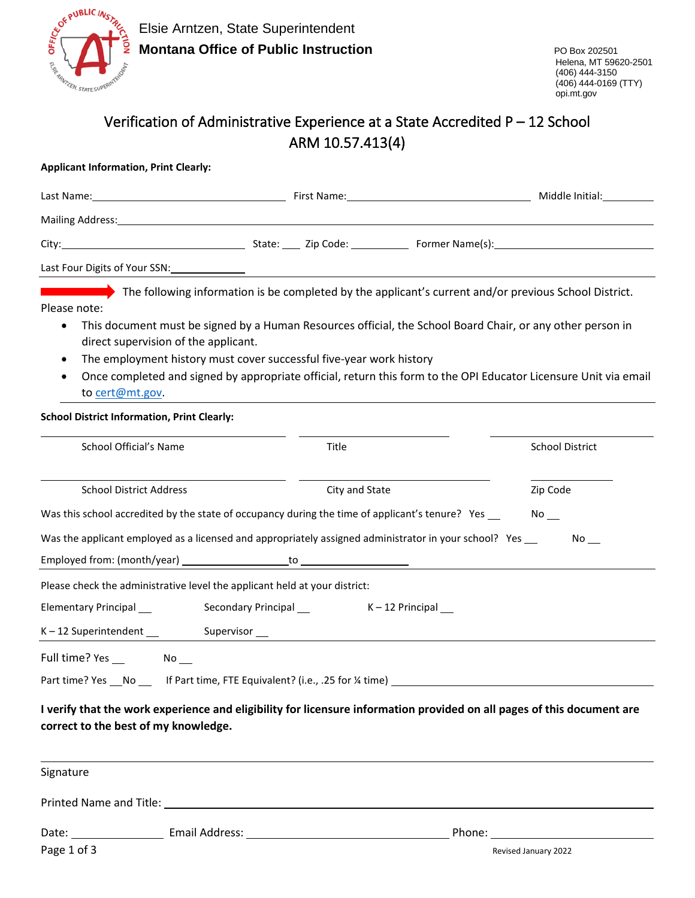

## Verification of Administrative Experience at a State Accredited P – 12 School ARM 10.57.413(4)

## **Applicant Information, Print Clearly:**

|                                                                                                                              |                                                                            |                                                                                                                                                                                                                                  | Middle Initial:                                                                                                                                                                                                                                                                                                                         |
|------------------------------------------------------------------------------------------------------------------------------|----------------------------------------------------------------------------|----------------------------------------------------------------------------------------------------------------------------------------------------------------------------------------------------------------------------------|-----------------------------------------------------------------------------------------------------------------------------------------------------------------------------------------------------------------------------------------------------------------------------------------------------------------------------------------|
|                                                                                                                              |                                                                            |                                                                                                                                                                                                                                  |                                                                                                                                                                                                                                                                                                                                         |
|                                                                                                                              |                                                                            |                                                                                                                                                                                                                                  | City: 2010 City: 2ip Code: 2.1 Former Name(s): 2.1 City: 2.1 City: 2.1 City: 2.1 City: 2.1 City: 2.1 City: 2.1 City: 2.1 City: 2.1 City: 2.1 City: 2.1 City: 2.1 City: 2.1 City: 2.1 City: 2.1 City: 2.1 City: 2.1 City: 2.1 C                                                                                                          |
|                                                                                                                              |                                                                            |                                                                                                                                                                                                                                  |                                                                                                                                                                                                                                                                                                                                         |
| Please note:<br>$\bullet$<br>$\bullet$<br>$\bullet$<br>to cert@mt.gov.<br><b>School District Information, Print Clearly:</b> | direct supervision of the applicant.                                       | The employment history must cover successful five-year work history                                                                                                                                                              | The following information is be completed by the applicant's current and/or previous School District.<br>This document must be signed by a Human Resources official, the School Board Chair, or any other person in<br>Once completed and signed by appropriate official, return this form to the OPI Educator Licensure Unit via email |
| School Official's Name                                                                                                       |                                                                            | Title                                                                                                                                                                                                                            | <b>School District</b>                                                                                                                                                                                                                                                                                                                  |
| <b>School District Address</b>                                                                                               |                                                                            | City and State<br>Was this school accredited by the state of occupancy during the time of applicant's tenure? Yes __<br>Was the applicant employed as a licensed and appropriately assigned administrator in your school? Yes __ | Zip Code<br>$No$ $\_\_$<br>$\mathsf{No}\_\_$                                                                                                                                                                                                                                                                                            |
| Elementary Principal __                                                                                                      | Please check the administrative level the applicant held at your district: |                                                                                                                                                                                                                                  |                                                                                                                                                                                                                                                                                                                                         |
| correct to the best of my knowledge.                                                                                         |                                                                            | Part time? Yes __No _____ If Part time, FTE Equivalent? (i.e., .25 for ¼ time) _____________________                                                                                                                             | I verify that the work experience and eligibility for licensure information provided on all pages of this document are                                                                                                                                                                                                                  |
| Signature                                                                                                                    |                                                                            |                                                                                                                                                                                                                                  |                                                                                                                                                                                                                                                                                                                                         |
| Page 1 of 3                                                                                                                  |                                                                            |                                                                                                                                                                                                                                  | Revised January 2022                                                                                                                                                                                                                                                                                                                    |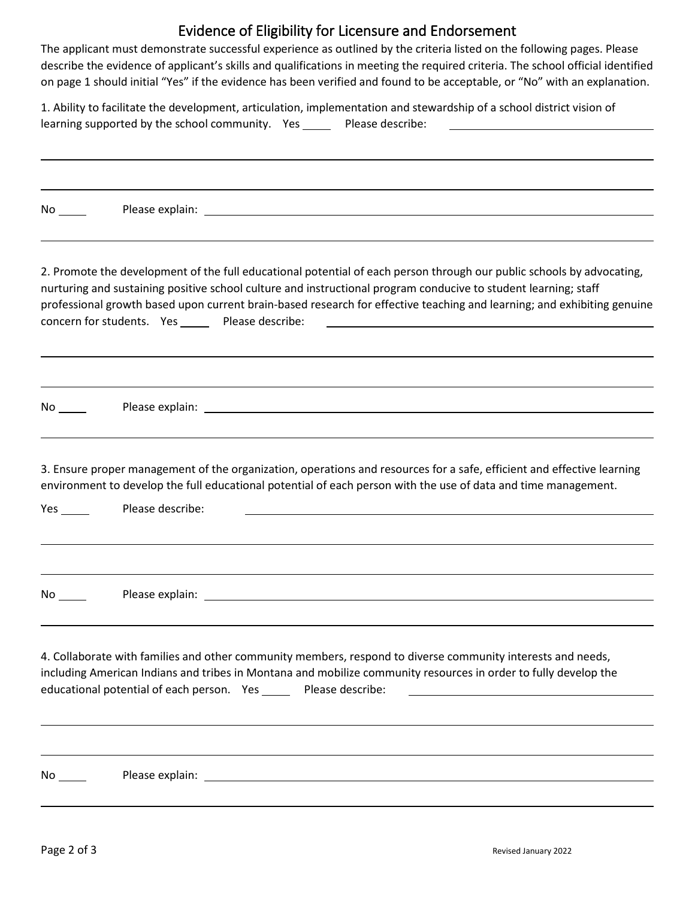## Evidence of Eligibility for Licensure and Endorsement

The applicant must demonstrate successful experience as outlined by the criteria listed on the following pages. Please describe the evidence of applicant's skills and qualifications in meeting the required criteria. The school official identified on page 1 should initial "Yes" if the evidence has been verified and found to be acceptable, or "No" with an explanation.

1. Ability to facilitate the development, articulation, implementation and stewardship of a school district vision of learning supported by the school community. Yes \_\_\_\_\_\_ Please describe:

| 2. Promote the development of the full educational potential of each person through our public schools by advocating,<br>nurturing and sustaining positive school culture and instructional program conducive to student learning; staff<br>professional growth based upon current brain-based research for effective teaching and learning; and exhibiting genuine<br>concern for students. Yes ______ Please describe:<br><u> 1989 - Johann Barbara, martin amerikan basar dan berasal dalam basa dalam basar dalam basar dalam basar dala</u> |
|--------------------------------------------------------------------------------------------------------------------------------------------------------------------------------------------------------------------------------------------------------------------------------------------------------------------------------------------------------------------------------------------------------------------------------------------------------------------------------------------------------------------------------------------------|
|                                                                                                                                                                                                                                                                                                                                                                                                                                                                                                                                                  |
| 3. Ensure proper management of the organization, operations and resources for a safe, efficient and effective learning<br>environment to develop the full educational potential of each person with the use of data and time management.<br>Please describe:                                                                                                                                                                                                                                                                                     |
|                                                                                                                                                                                                                                                                                                                                                                                                                                                                                                                                                  |
| 4. Collaborate with families and other community members, respond to diverse community interests and needs,<br>including American Indians and tribes in Montana and mobilize community resources in order to fully develop the<br>educational potential of each person. Yes ______ Please describe:                                                                                                                                                                                                                                              |
|                                                                                                                                                                                                                                                                                                                                                                                                                                                                                                                                                  |
|                                                                                                                                                                                                                                                                                                                                                                                                                                                                                                                                                  |